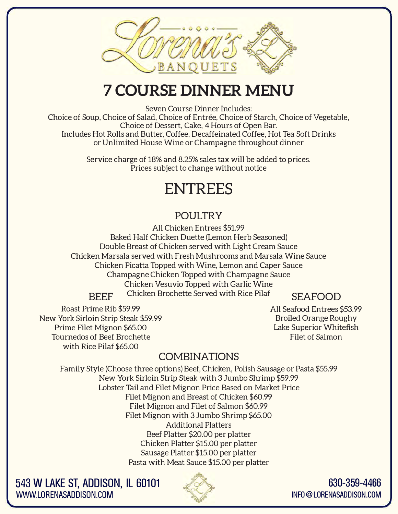

## **7 COURSE DINNER MENU**

Seven Course Dinner Includes:

Choice of Soup, Choice of Salad, Choice of Entrée, Choice of Starch, Choice of Vegetable, Choice of Dessert, Cake, 4 Hours of Open Bar. Includes Hot Rolls and Butter, Coffee, Decaffeinated Coffee, Hot Tea Soft Drinks or Unlimited House Wine or Champagne throughout dinner

> Service charge of 18% and 8.25% sales tax will be added to prices. Prices subject to change without notice

## **ENTREES**

#### **POULTRY**

All Chicken Entrees \$51.99 Baked Half Chicken Duette (Lemon Herb Seasoned) Double Breast of Chicken served with Light Cream Sauce Chicken Marsala served with Fresh Mushrooms and Marsala Wine Sauce Chicken Picatta Topped with Wine, Lemon and Caper Sauce Champagne Chicken Topped with Champagne Sauce Chicken Vesuvio Topped with Garlic Wine Chicken Brochette Served with Rice Pilaf **BEEF SEAFOOD** 

Roast Prime Rib \$59.99 New York Sirloin Strip Steak \$59.99 Prime Filet Mignon \$65.00 Tournedos of Beef Brochette with Rice Pilaf \$65.00

**All** Seafood Entrees \$53.99 Broiled Orange Roughy Lake Superior Whitefish Filet of Salmon

#### **COMBINATIONS**

Family Style (Choose three options) Beef, Chicken, Polish Sausage or Pasta \$55.99 New York Sirloin Strip Steak with 3 Jumbo Shrimp \$59.99 Lobster Tail and Filet Mignon Price Based on Market Price Filet Mignon and Breast of Chicken \$60.99 Filet Mignon and Filet of Salmon \$60.99 Filet Mignon with 3 Jumbo Shrimp \$65.00 Additional Platters Beef Platter \$20.00 per platter Chicken Platter \$15.00 per platter Sausage Platter \$15.00 per platter Pasta with Meat Sauce \$15.00 per platter

**543 W LAKE ST, ADDISON, IL 60101 WWW.LORENASADDISON.COM** 



**630-359-4466 INFO@LORENASADDISON.COM**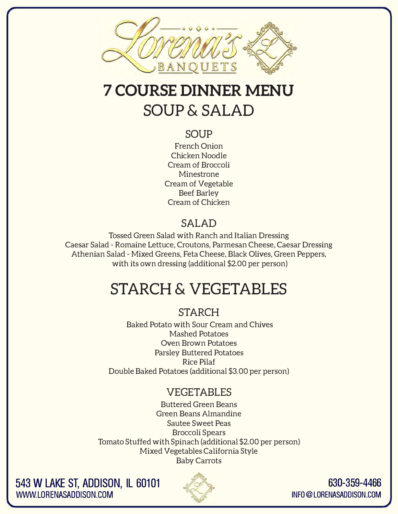

# **7 COURSE DINNER MENU SOUP&SALAD**

#### **SOUP**

French Onion Chicken Noodle Cream of Broccoli Minestrone Cream of Vegetable Beef Barley Cream of Chicken

#### **SALAD**

Tossed Green Salad with Ranch and Italian Dressing Caesar Salad - Romaine Lettuce, Croutons, Parmesan Cheese, Caesar Dressing Athenian Salad - Mixed Greens, Feta Cheese, Black Olives, Green Peppers, with its own dressing (additional \$2.00 per person)

# **STARCH & VEGETABLES**

#### **STARCH**

Baked Potato with Sour Cream and Chives Mashed Potatoes Oven Brown Potatoes Parsley Buttered Potatoes Rice Pilaf Double Baked Potatoes (additional \$3.00 per person)

#### **VEGETABLES**

Buttered Green Beans Green Beans Almandine Sautee Sweet Peas Broccoli Spears Tomato Stuffed with Spinach (additional \$2.00 per person) Mixed Vegetables California Style Baby Carrots

**543 W LAKE ST, ADDISON, IL 60101 WWW.LORENASADDISON.COM** 



**630-359-4466 INFO@LORENASADDISON.COM**